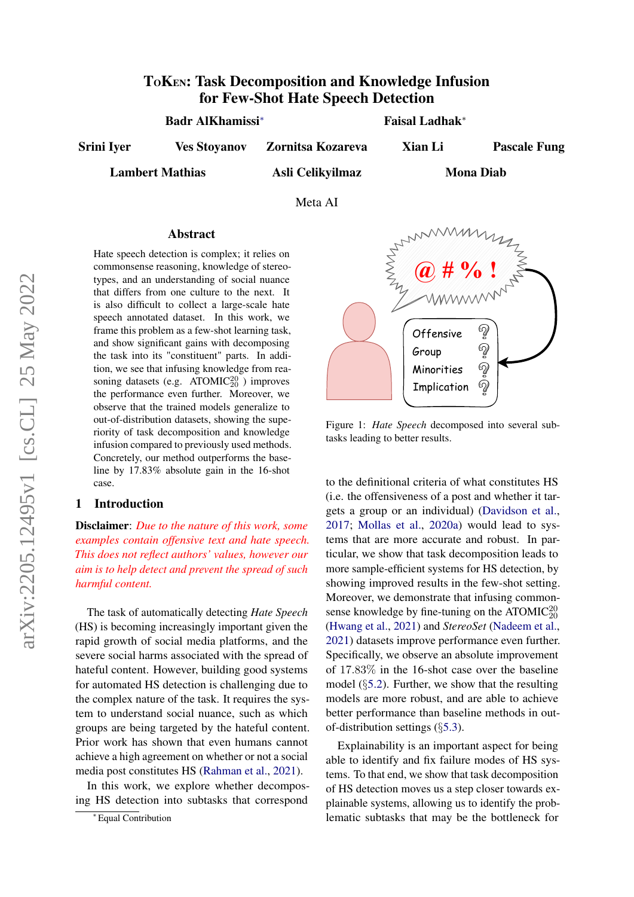# TOKEN: Task Decomposition and Knowledge Infusion for Few-Shot Hate Speech Detection

Badr AlKhamissi<sup>∗</sup> Faisal Ladhak<sup>∗</sup>

Srini Iyer Ves Stoyanov Zornitsa Kozareva Xian Li Pascale Fung

Lambert Mathias **Asli Celikvilmaz** 

Mona Diab

Meta AI

#### Abstract

Hate speech detection is complex; it relies on commonsense reasoning, knowledge of stereotypes, and an understanding of social nuance that differs from one culture to the next. It is also difficult to collect a large-scale hate speech annotated dataset. In this work, we frame this problem as a few-shot learning task, and show significant gains with decomposing the task into its "constituent" parts. In addition, we see that infusing knowledge from reasoning datasets (e.g.  $ATOMIC_{20}^{20}$ ) improves the performance even further. Moreover, we observe that the trained models generalize to out-of-distribution datasets, showing the superiority of task decomposition and knowledge infusion compared to previously used methods. Concretely, our method outperforms the baseline by 17.83% absolute gain in the 16-shot case.

#### 1 Introduction

Disclaimer: *Due to the nature of this work, some examples contain offensive text and hate speech. This does not reflect authors' values, however our aim is to help detect and prevent the spread of such harmful content.*

The task of automatically detecting *Hate Speech* (HS) is becoming increasingly important given the rapid growth of social media platforms, and the severe social harms associated with the spread of hateful content. However, building good systems for automated HS detection is challenging due to the complex nature of the task. It requires the system to understand social nuance, such as which groups are being targeted by the hateful content. Prior work has shown that even humans cannot achieve a high agreement on whether or not a social media post constitutes HS [\(Rahman et al.,](#page-8-0) [2021\)](#page-8-0).

In this work, we explore whether decomposing HS detection into subtasks that correspond



Figure 1: *Hate Speech* decomposed into several subtasks leading to better results.

to the definitional criteria of what constitutes HS (i.e. the offensiveness of a post and whether it targets a group or an individual) [\(Davidson et al.,](#page-8-1) [2017;](#page-8-1) [Mollas et al.,](#page-8-2) [2020a\)](#page-8-2) would lead to systems that are more accurate and robust. In particular, we show that task decomposition leads to more sample-efficient systems for HS detection, by showing improved results in the few-shot setting. Moreover, we demonstrate that infusing commonsense knowledge by fine-tuning on the ATOMIC $_{20}^{20}$ [\(Hwang et al.,](#page-8-3) [2021\)](#page-8-3) and *StereoSet* [\(Nadeem et al.,](#page-8-4) [2021\)](#page-8-4) datasets improve performance even further. Specifically, we observe an absolute improvement of 17.83% in the 16-shot case over the baseline model (§[5.2\)](#page-4-0). Further, we show that the resulting models are more robust, and are able to achieve better performance than baseline methods in outof-distribution settings (§[5.3\)](#page-4-1).

Explainability is an important aspect for being able to identify and fix failure modes of HS systems. To that end, we show that task decomposition of HS detection moves us a step closer towards explainable systems, allowing us to identify the problematic subtasks that may be the bottleneck for

<sup>∗</sup> Equal Contribution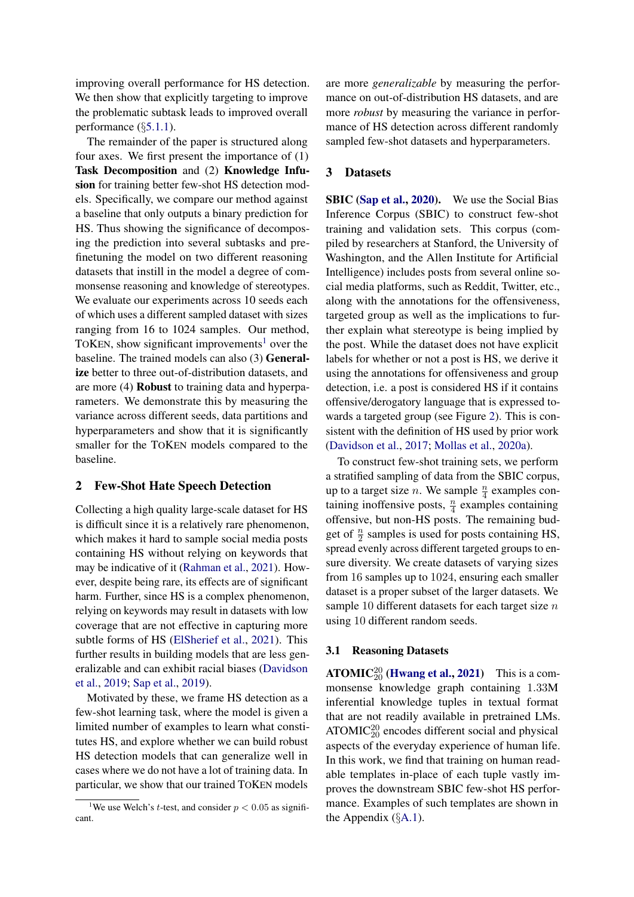improving overall performance for HS detection. We then show that explicitly targeting to improve the problematic subtask leads to improved overall performance (§[5.1.1\)](#page-3-0).

The remainder of the paper is structured along four axes. We first present the importance of (1) Task Decomposition and (2) Knowledge Infusion for training better few-shot HS detection models. Specifically, we compare our method against a baseline that only outputs a binary prediction for HS. Thus showing the significance of decomposing the prediction into several subtasks and prefinetuning the model on two different reasoning datasets that instill in the model a degree of commonsense reasoning and knowledge of stereotypes. We evaluate our experiments across 10 seeds each of which uses a different sampled dataset with sizes ranging from 16 to 1024 samples. Our method, TOKEN, show significant improvements<sup>[1](#page-1-0)</sup> over the baseline. The trained models can also (3) Generalize better to three out-of-distribution datasets, and are more (4) Robust to training data and hyperparameters. We demonstrate this by measuring the variance across different seeds, data partitions and hyperparameters and show that it is significantly smaller for the TOKEN models compared to the baseline.

#### 2 Few-Shot Hate Speech Detection

Collecting a high quality large-scale dataset for HS is difficult since it is a relatively rare phenomenon, which makes it hard to sample social media posts containing HS without relying on keywords that may be indicative of it [\(Rahman et al.,](#page-8-0) [2021\)](#page-8-0). However, despite being rare, its effects are of significant harm. Further, since HS is a complex phenomenon, relying on keywords may result in datasets with low coverage that are not effective in capturing more subtle forms of HS [\(ElSherief et al.,](#page-8-5) [2021\)](#page-8-5). This further results in building models that are less generalizable and can exhibit racial biases [\(Davidson](#page-8-6) [et al.,](#page-8-6) [2019;](#page-8-6) [Sap et al.,](#page-8-7) [2019\)](#page-8-7).

Motivated by these, we frame HS detection as a few-shot learning task, where the model is given a limited number of examples to learn what constitutes HS, and explore whether we can build robust HS detection models that can generalize well in cases where we do not have a lot of training data. In particular, we show that our trained TOKEN models

are more *generalizable* by measuring the performance on out-of-distribution HS datasets, and are more *robust* by measuring the variance in performance of HS detection across different randomly sampled few-shot datasets and hyperparameters.

#### 3 Datasets

SBIC [\(Sap et al.,](#page-9-0) [2020\)](#page-9-0). We use the Social Bias Inference Corpus (SBIC) to construct few-shot training and validation sets. This corpus (compiled by researchers at Stanford, the University of Washington, and the Allen Institute for Artificial Intelligence) includes posts from several online social media platforms, such as Reddit, Twitter, etc., along with the annotations for the offensiveness, targeted group as well as the implications to further explain what stereotype is being implied by the post. While the dataset does not have explicit labels for whether or not a post is HS, we derive it using the annotations for offensiveness and group detection, i.e. a post is considered HS if it contains offensive/derogatory language that is expressed towards a targeted group (see Figure [2\)](#page-2-0). This is consistent with the definition of HS used by prior work [\(Davidson et al.,](#page-8-1) [2017;](#page-8-1) [Mollas et al.,](#page-8-2) [2020a\)](#page-8-2).

To construct few-shot training sets, we perform a stratified sampling of data from the SBIC corpus, up to a target size *n*. We sample  $\frac{n}{4}$  examples containing inoffensive posts,  $\frac{n}{4}$  examples containing offensive, but non-HS posts. The remaining budget of  $\frac{n}{2}$  samples is used for posts containing HS, spread evenly across different targeted groups to ensure diversity. We create datasets of varying sizes from 16 samples up to 1024, ensuring each smaller dataset is a proper subset of the larger datasets. We sample 10 different datasets for each target size  $n$ using 10 different random seeds.

#### 3.1 Reasoning Datasets

 $\text{ATOMIC}_{20}^{20}$  [\(Hwang et al.,](#page-8-3) [2021\)](#page-8-3) This is a commonsense knowledge graph containing 1.33M inferential knowledge tuples in textual format that are not readily available in pretrained LMs.  $ATOMIC_{20}^{20}$  encodes different social and physical aspects of the everyday experience of human life. In this work, we find that training on human readable templates in-place of each tuple vastly improves the downstream SBIC few-shot HS performance. Examples of such templates are shown in the Appendix  $(\S$ [A.1\)](#page-9-1).

<span id="page-1-0"></span><sup>&</sup>lt;sup>1</sup>We use Welch's *t*-test, and consider  $p < 0.05$  as significant.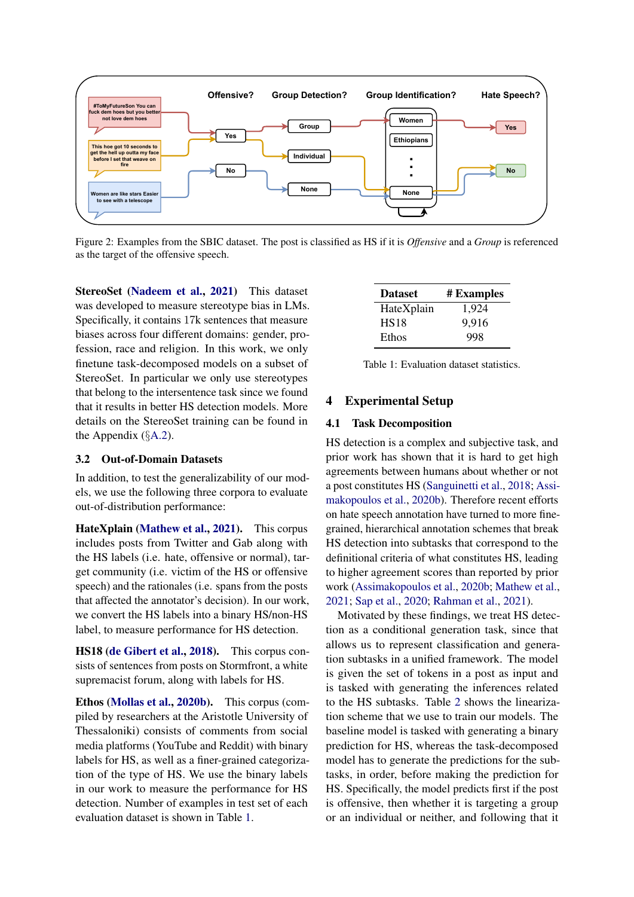<span id="page-2-0"></span>

Figure 2: Examples from the SBIC dataset. The post is classified as HS if it is *Offensive* and a *Group* is referenced as the target of the offensive speech.

StereoSet [\(Nadeem et al.,](#page-8-4) [2021\)](#page-8-4) This dataset was developed to measure stereotype bias in LMs. Specifically, it contains 17k sentences that measure biases across four different domains: gender, profession, race and religion. In this work, we only finetune task-decomposed models on a subset of StereoSet. In particular we only use stereotypes that belong to the intersentence task since we found that it results in better HS detection models. More details on the StereoSet training can be found in the Appendix  $(\S A.2)$  $(\S A.2)$ .

#### 3.2 Out-of-Domain Datasets

In addition, to test the generalizability of our models, we use the following three corpora to evaluate out-of-distribution performance:

HateXplain [\(Mathew et al.,](#page-8-8) [2021\)](#page-8-8). This corpus includes posts from Twitter and Gab along with the HS labels (i.e. hate, offensive or normal), target community (i.e. victim of the HS or offensive speech) and the rationales (i.e. spans from the posts that affected the annotator's decision). In our work, we convert the HS labels into a binary HS/non-HS label, to measure performance for HS detection.

HS18 [\(de Gibert et al.,](#page-8-9) [2018\)](#page-8-9). This corpus consists of sentences from posts on Stormfront, a white supremacist forum, along with labels for HS.

Ethos [\(Mollas et al.,](#page-8-10) [2020b\)](#page-8-10). This corpus (compiled by researchers at the Aristotle University of Thessaloniki) consists of comments from social media platforms (YouTube and Reddit) with binary labels for HS, as well as a finer-grained categorization of the type of HS. We use the binary labels in our work to measure the performance for HS detection. Number of examples in test set of each evaluation dataset is shown in Table [1.](#page-2-1)

<span id="page-2-1"></span>

| <b>Dataset</b> | # Examples |
|----------------|------------|
| HateXplain     | 1.924      |
| <b>HS18</b>    | 9,916      |
| Ethos          | 998        |

Table 1: Evaluation dataset statistics.

# 4 Experimental Setup

#### <span id="page-2-2"></span>4.1 Task Decomposition

HS detection is a complex and subjective task, and prior work has shown that it is hard to get high agreements between humans about whether or not a post constitutes HS [\(Sanguinetti et al.,](#page-8-11) [2018;](#page-8-11) [Assi](#page-8-12)[makopoulos et al.,](#page-8-12) [2020b\)](#page-8-12). Therefore recent efforts on hate speech annotation have turned to more finegrained, hierarchical annotation schemes that break HS detection into subtasks that correspond to the definitional criteria of what constitutes HS, leading to higher agreement scores than reported by prior work [\(Assimakopoulos et al.,](#page-8-12) [2020b;](#page-8-12) [Mathew et al.,](#page-8-8) [2021;](#page-8-8) [Sap et al.,](#page-9-0) [2020;](#page-9-0) [Rahman et al.,](#page-8-0) [2021\)](#page-8-0).

Motivated by these findings, we treat HS detection as a conditional generation task, since that allows us to represent classification and generation subtasks in a unified framework. The model is given the set of tokens in a post as input and is tasked with generating the inferences related to the HS subtasks. Table [2](#page-3-1) shows the linearization scheme that we use to train our models. The baseline model is tasked with generating a binary prediction for HS, whereas the task-decomposed model has to generate the predictions for the subtasks, in order, before making the prediction for HS. Specifically, the model predicts first if the post is offensive, then whether it is targeting a group or an individual or neither, and following that it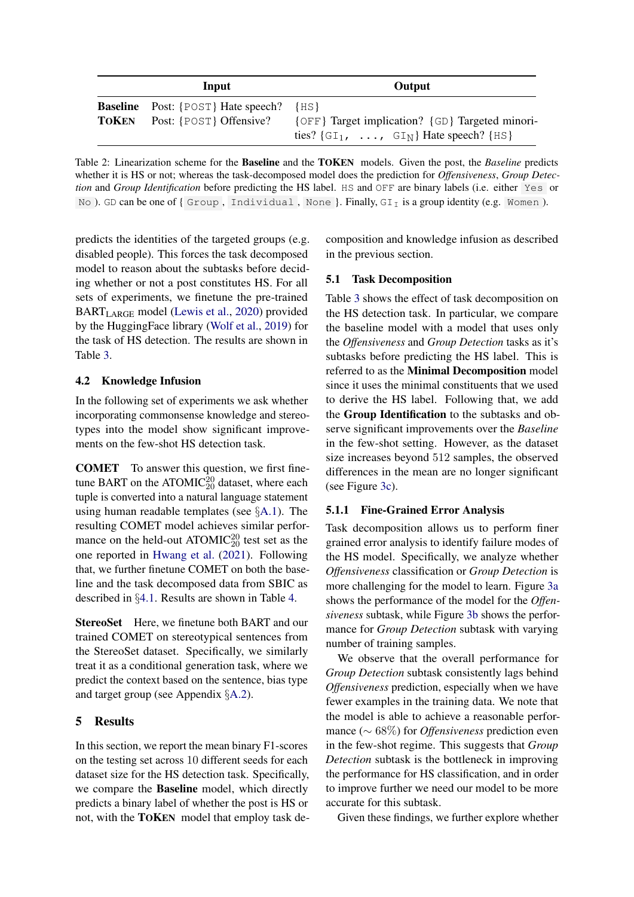<span id="page-3-1"></span>

| Input                                                                             | Output                                                                                                              |
|-----------------------------------------------------------------------------------|---------------------------------------------------------------------------------------------------------------------|
| <b>Baseline</b> Post: {POST} Hate speech?<br><b>TOKEN</b> Post: {POST} Offensive? | $\{HS\}$<br>{OFF} Target implication? {GD} Targeted minori-<br>ties? $\{GI_1, \ldots, GI_N\}$ Hate speech? $\{HS\}$ |

Table 2: Linearization scheme for the Baseline and the TOKEN models. Given the post, the *Baseline* predicts whether it is HS or not; whereas the task-decomposed model does the prediction for *Offensiveness*, *Group Detection* and *Group Identification* before predicting the HS label. HS and OFF are binary labels (i.e. either Yes or No ). GD can be one of { Group, Individual, None }. Finally,  $GI_I$  is a group identity (e.g. Women ).

predicts the identities of the targeted groups (e.g. disabled people). This forces the task decomposed model to reason about the subtasks before deciding whether or not a post constitutes HS. For all sets of experiments, we finetune the pre-trained BARTLARGE model [\(Lewis et al.,](#page-8-13) [2020\)](#page-8-13) provided by the HuggingFace library [\(Wolf et al.,](#page-9-2) [2019\)](#page-9-2) for the task of HS detection. The results are shown in Table [3.](#page-4-2)

# 4.2 Knowledge Infusion

In the following set of experiments we ask whether incorporating commonsense knowledge and stereotypes into the model show significant improvements on the few-shot HS detection task.

COMET To answer this question, we first finetune BART on the ATOMIC<sup>20</sup> dataset, where each tuple is converted into a natural language statement using human readable templates (see §[A.1\)](#page-9-1). The resulting COMET model achieves similar performance on the held-out ATOMIC $_{20}^{20}$  test set as the one reported in [Hwang et al.](#page-8-3) [\(2021\)](#page-8-3). Following that, we further finetune COMET on both the baseline and the task decomposed data from SBIC as described in §[4.1.](#page-2-2) Results are shown in Table [4.](#page-5-0)

StereoSet Here, we finetune both BART and our trained COMET on stereotypical sentences from the StereoSet dataset. Specifically, we similarly treat it as a conditional generation task, where we predict the context based on the sentence, bias type and target group (see Appendix §[A.2\)](#page-10-0).

# 5 Results

In this section, we report the mean binary F1-scores on the testing set across 10 different seeds for each dataset size for the HS detection task. Specifically, we compare the Baseline model, which directly predicts a binary label of whether the post is HS or not, with the TOKEN model that employ task decomposition and knowledge infusion as described in the previous section.

#### 5.1 Task Decomposition

Table [3](#page-4-2) shows the effect of task decomposition on the HS detection task. In particular, we compare the baseline model with a model that uses only the *Offensiveness* and *Group Detection* tasks as it's subtasks before predicting the HS label. This is referred to as the Minimal Decomposition model since it uses the minimal constituents that we used to derive the HS label. Following that, we add the Group Identification to the subtasks and observe significant improvements over the *Baseline* in the few-shot setting. However, as the dataset size increases beyond 512 samples, the observed differences in the mean are no longer significant (see Figure [3c\)](#page-4-3).

#### <span id="page-3-0"></span>5.1.1 Fine-Grained Error Analysis

Task decomposition allows us to perform finer grained error analysis to identify failure modes of the HS model. Specifically, we analyze whether *Offensiveness* classification or *Group Detection* is more challenging for the model to learn. Figure [3a](#page-4-3) shows the performance of the model for the *Offensiveness* subtask, while Figure [3b](#page-4-3) shows the performance for *Group Detection* subtask with varying number of training samples.

We observe that the overall performance for *Group Detection* subtask consistently lags behind *Offensiveness* prediction, especially when we have fewer examples in the training data. We note that the model is able to achieve a reasonable performance (∼ 68%) for *Offensiveness* prediction even in the few-shot regime. This suggests that *Group Detection* subtask is the bottleneck in improving the performance for HS classification, and in order to improve further we need our model to be more accurate for this subtask.

Given these findings, we further explore whether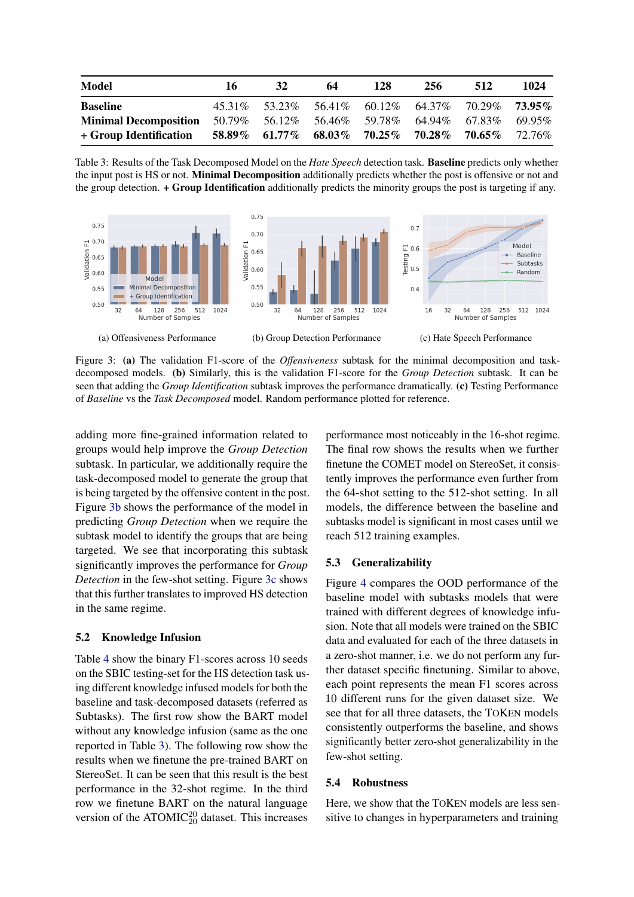<span id="page-4-2"></span>

| Model                                                                         | 16 | <b>32</b> | 64 | 128 | 256                                                     | 512 | 1024 |
|-------------------------------------------------------------------------------|----|-----------|----|-----|---------------------------------------------------------|-----|------|
| <b>Baseline</b>                                                               |    |           |    |     | 45.31\% 53.23\% 56.41\% 60.12\% 64.37\% 70.29\% 73.95\% |     |      |
| <b>Minimal Decomposition</b> 50.79% 56.12% 56.46% 59.78% 64.94% 67.83% 69.95% |    |           |    |     |                                                         |     |      |
| + Group Identification                                                        |    |           |    |     | $58.89\%$ 61.77% 68.03% 70.25% 70.28% 70.65% 72.76%     |     |      |

Table 3: Results of the Task Decomposed Model on the *Hate Speech* detection task. Baseline predicts only whether the input post is HS or not. **Minimal Decomposition** additionally predicts whether the post is offensive or not and the group detection. + Group Identification additionally predicts the minority groups the post is targeting if any.

<span id="page-4-3"></span>

Figure 3: (a) The validation F1-score of the *Offensiveness* subtask for the minimal decomposition and taskdecomposed models. (b) Similarly, this is the validation F1-score for the *Group Detection* subtask. It can be seen that adding the *Group Identification* subtask improves the performance dramatically. (c) Testing Performance of *Baseline* vs the *Task Decomposed* model. Random performance plotted for reference.

adding more fine-grained information related to groups would help improve the *Group Detection* subtask. In particular, we additionally require the task-decomposed model to generate the group that is being targeted by the offensive content in the post. Figure [3b](#page-4-3) shows the performance of the model in predicting *Group Detection* when we require the subtask model to identify the groups that are being targeted. We see that incorporating this subtask significantly improves the performance for *Group Detection* in the few-shot setting. Figure [3c](#page-4-3) shows that this further translates to improved HS detection in the same regime.

#### <span id="page-4-0"></span>5.2 Knowledge Infusion

Table [4](#page-5-0) show the binary F1-scores across 10 seeds on the SBIC testing-set for the HS detection task using different knowledge infused models for both the baseline and task-decomposed datasets (referred as Subtasks). The first row show the BART model without any knowledge infusion (same as the one reported in Table [3\)](#page-4-2). The following row show the results when we finetune the pre-trained BART on StereoSet. It can be seen that this result is the best performance in the 32-shot regime. In the third row we finetune BART on the natural language version of the ATOMIC $_{20}^{20}$  dataset. This increases

performance most noticeably in the 16-shot regime. The final row shows the results when we further finetune the COMET model on StereoSet, it consistently improves the performance even further from the 64-shot setting to the 512-shot setting. In all models, the difference between the baseline and subtasks model is significant in most cases until we reach 512 training examples.

#### <span id="page-4-1"></span>5.3 Generalizability

Figure [4](#page-5-1) compares the OOD performance of the baseline model with subtasks models that were trained with different degrees of knowledge infusion. Note that all models were trained on the SBIC data and evaluated for each of the three datasets in a zero-shot manner, i.e. we do not perform any further dataset specific finetuning. Similar to above, each point represents the mean F1 scores across 10 different runs for the given dataset size. We see that for all three datasets, the TOKEN models consistently outperforms the baseline, and shows significantly better zero-shot generalizability in the few-shot setting.

#### 5.4 Robustness

Here, we show that the TOKEN models are less sensitive to changes in hyperparameters and training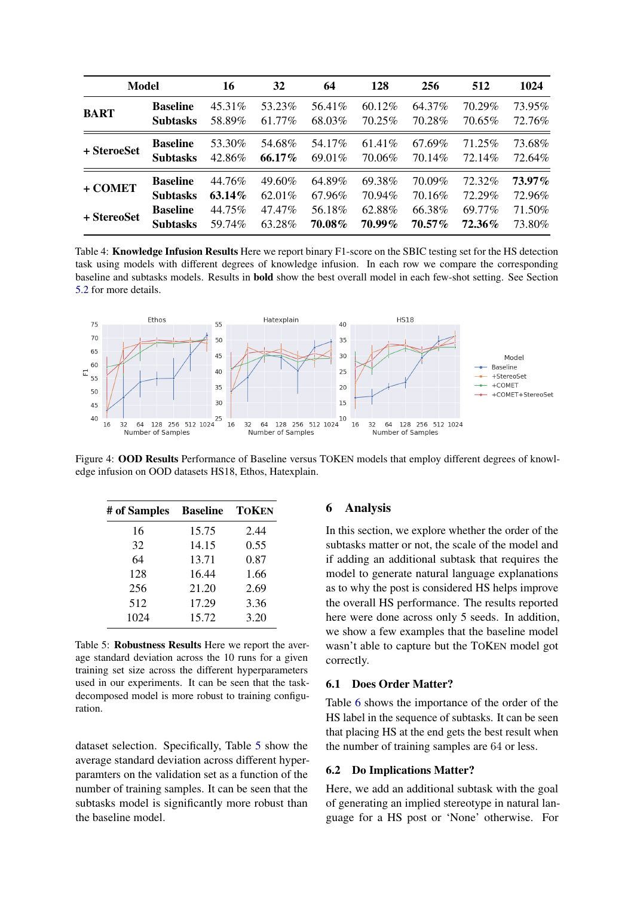<span id="page-5-0"></span>

| <b>Model</b> |                 | 16      | 32     | 64      | 128    | 256       | 512    | 1024   |
|--------------|-----------------|---------|--------|---------|--------|-----------|--------|--------|
| <b>BART</b>  | <b>Baseline</b> | 45.31\% | 53.23% | 56.41\% | 60.12% | 64.37%    | 70.29% | 73.95% |
|              | <b>Subtasks</b> | 58.89%  | 61.77% | 68.03%  | 70.25% | 70.28%    | 70.65% | 72.76% |
| + SteroeSet  | <b>Baseline</b> | 53.30%  | 54.68% | 54.17%  | 61.41% | 67.69%    | 71.25% | 73.68% |
|              | <b>Subtasks</b> | 42.86%  | 66.17% | 69.01\% | 70.06% | 70.14%    | 72.14% | 72.64% |
| + COMET      | <b>Baseline</b> | 44.76%  | 49.60% | 64.89%  | 69.38% | 70.09%    | 72.32% | 73.97% |
|              | <b>Subtasks</b> | 63.14%  | 62.01% | 67.96%  | 70.94% | 70.16%    | 72.29% | 72.96% |
| + StereoSet  | <b>Baseline</b> | 44.75%  | 47.47% | 56.18%  | 62.88% | 66.38%    | 69.77% | 71.50% |
|              | <b>Subtasks</b> | 59.74%  | 63.28% | 70.08%  | 70.99% | $70.57\%$ | 72.36% | 73.80% |

Table 4: Knowledge Infusion Results Here we report binary F1-score on the SBIC testing set for the HS detection task using models with different degrees of knowledge infusion. In each row we compare the corresponding baseline and subtasks models. Results in bold show the best overall model in each few-shot setting. See Section [5.2](#page-4-0) for more details.

<span id="page-5-1"></span>

Figure 4: OOD Results Performance of Baseline versus TOKEN models that employ different degrees of knowledge infusion on OOD datasets HS18, Ethos, Hatexplain.

<span id="page-5-2"></span>

| # of Samples | <b>Baseline TOKEN</b> |      |
|--------------|-----------------------|------|
| 16           | 15.75                 | 2.44 |
| 32           | 14.15                 | 0.55 |
| 64           | 13.71                 | 0.87 |
| 128          | 16.44                 | 1.66 |
| 256          | 21.20                 | 2.69 |
| 512          | 17.29                 | 3.36 |
| 1024         | 15.72                 | 3.20 |

Table 5: Robustness Results Here we report the average standard deviation across the 10 runs for a given training set size across the different hyperparameters used in our experiments. It can be seen that the taskdecomposed model is more robust to training configuration.

dataset selection. Specifically, Table [5](#page-5-2) show the average standard deviation across different hyperparamters on the validation set as a function of the number of training samples. It can be seen that the subtasks model is significantly more robust than the baseline model.

#### 6 Analysis

In this section, we explore whether the order of the subtasks matter or not, the scale of the model and if adding an additional subtask that requires the model to generate natural language explanations as to why the post is considered HS helps improve the overall HS performance. The results reported here were done across only 5 seeds. In addition, we show a few examples that the baseline model wasn't able to capture but the TOKEN model got correctly.

#### 6.1 Does Order Matter?

Table [6](#page-6-0) shows the importance of the order of the HS label in the sequence of subtasks. It can be seen that placing HS at the end gets the best result when the number of training samples are 64 or less.

#### 6.2 Do Implications Matter?

Here, we add an additional subtask with the goal of generating an implied stereotype in natural language for a HS post or 'None' otherwise. For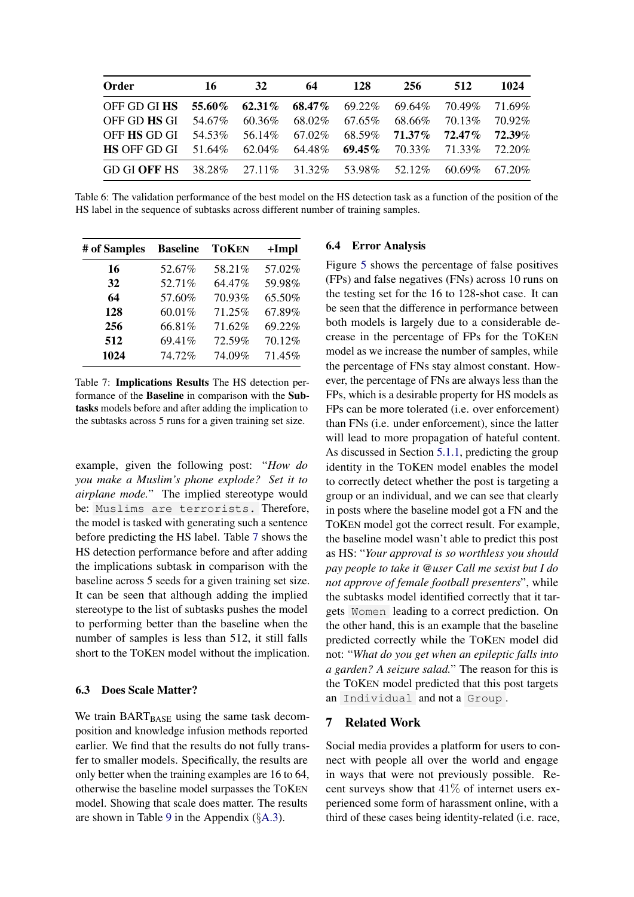<span id="page-6-0"></span>

| Order                                                         | -16    | 32     | 64                                                          | 128                 | 256 | 512                           | 1024   |
|---------------------------------------------------------------|--------|--------|-------------------------------------------------------------|---------------------|-----|-------------------------------|--------|
| OFF GD GI HS 55.60% 62.31% 68.47% 69.22% 69.64% 70.49% 71.69% |        |        |                                                             |                     |     |                               |        |
| OFF GD <b>HS</b> GI                                           | 54.67% | 60.36% |                                                             | $68.02\%$ $67.65\%$ |     | 68.66% 70.13%                 | 70.92% |
| OFF <b>HS</b> GD GI                                           | 54.53% |        | 56.14\% 67.02\%                                             | 68.59%              |     | $71.37\%$ $72.47\%$ $72.39\%$ |        |
| $HS$ OFF GD GI $51.64\%$                                      |        |        | $62.04\%$ $64.48\%$ $69.45\%$ $70.33\%$ $71.33\%$ $72.20\%$ |                     |     |                               |        |
| GD GI OFF HS 38.28% 27.11% 31.32% 53.98% 52.12% 60.69% 67.20% |        |        |                                                             |                     |     |                               |        |

Table 6: The validation performance of the best model on the HS detection task as a function of the position of the HS label in the sequence of subtasks across different number of training samples.

<span id="page-6-1"></span>

| # of Samples | <b>Baseline</b> | TOKEN  | $+Impl$ |
|--------------|-----------------|--------|---------|
| 16           | 52.67%          | 58.21% | 57.02%  |
| 32           | 52.71%          | 64.47% | 59.98%  |
| 64           | 57.60%          | 70.93% | 65.50%  |
| 128          | 60.01%          | 71.25% | 67.89%  |
| 256          | 66.81%          | 71.62% | 69.22%  |
| 512          | 69.41%          | 72.59% | 70.12%  |
| 1024         | 74.72%          | 74.09% | 71.45%  |

Table 7: Implications Results The HS detection performance of the Baseline in comparison with the Subtasks models before and after adding the implication to the subtasks across 5 runs for a given training set size.

example, given the following post: "*How do you make a Muslim's phone explode? Set it to airplane mode.*" The implied stereotype would be: Muslims are terrorists. Therefore, the model is tasked with generating such a sentence before predicting the HS label. Table [7](#page-6-1) shows the HS detection performance before and after adding the implications subtask in comparison with the baseline across 5 seeds for a given training set size. It can be seen that although adding the implied stereotype to the list of subtasks pushes the model to performing better than the baseline when the number of samples is less than 512, it still falls short to the TOKEN model without the implication.

#### <span id="page-6-2"></span>6.3 Does Scale Matter?

We train BART<sub>BASE</sub> using the same task decomposition and knowledge infusion methods reported earlier. We find that the results do not fully transfer to smaller models. Specifically, the results are only better when the training examples are 16 to 64, otherwise the baseline model surpasses the TOKEN model. Showing that scale does matter. The results are shown in Table [9](#page-10-1) in the Appendix (§[A.3\)](#page-10-2).

#### 6.4 Error Analysis

Figure [5](#page-7-0) shows the percentage of false positives (FPs) and false negatives (FNs) across 10 runs on the testing set for the 16 to 128-shot case. It can be seen that the difference in performance between both models is largely due to a considerable decrease in the percentage of FPs for the TOKEN model as we increase the number of samples, while the percentage of FNs stay almost constant. However, the percentage of FNs are always less than the FPs, which is a desirable property for HS models as FPs can be more tolerated (i.e. over enforcement) than FNs (i.e. under enforcement), since the latter will lead to more propagation of hateful content. As discussed in Section [5.1.1,](#page-3-0) predicting the group identity in the TOKEN model enables the model to correctly detect whether the post is targeting a group or an individual, and we can see that clearly in posts where the baseline model got a FN and the TOKEN model got the correct result. For example, the baseline model wasn't able to predict this post as HS: "*Your approval is so worthless you should pay people to take it @user Call me sexist but I do not approve of female football presenters*", while the subtasks model identified correctly that it targets Women leading to a correct prediction. On the other hand, this is an example that the baseline predicted correctly while the TOKEN model did not: "*What do you get when an epileptic falls into a garden? A seizure salad.*" The reason for this is the TOKEN model predicted that this post targets an Individual and not a Group .

## 7 Related Work

Social media provides a platform for users to connect with people all over the world and engage in ways that were not previously possible. Recent surveys show that  $41\%$  of internet users experienced some form of harassment online, with a third of these cases being identity-related (i.e. race,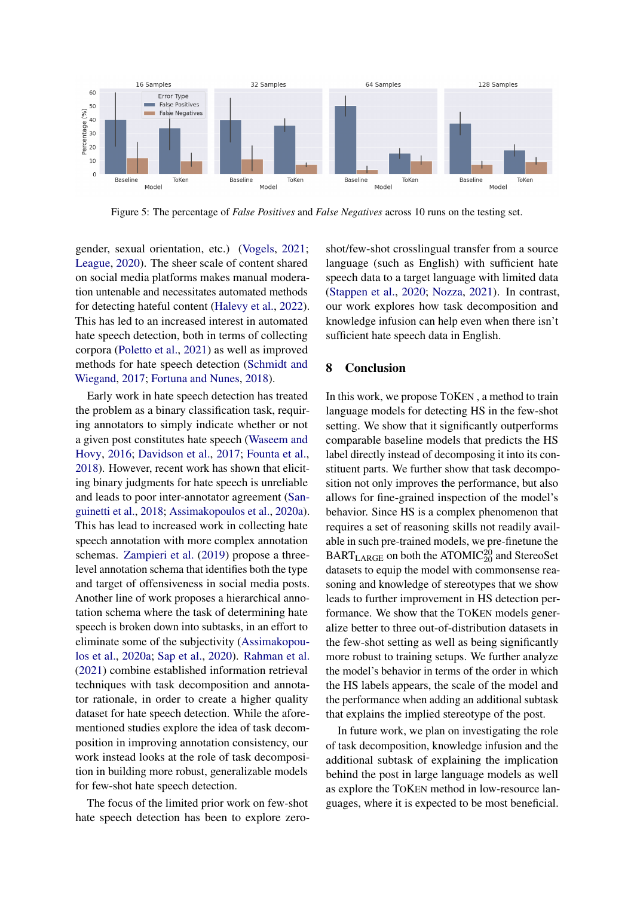<span id="page-7-0"></span>

Figure 5: The percentage of *False Positives* and *False Negatives* across 10 runs on the testing set.

gender, sexual orientation, etc.) [\(Vogels,](#page-9-3) [2021;](#page-9-3) [League,](#page-8-14) [2020\)](#page-8-14). The sheer scale of content shared on social media platforms makes manual moderation untenable and necessitates automated methods for detecting hateful content [\(Halevy et al.,](#page-8-15) [2022\)](#page-8-15). This has led to an increased interest in automated hate speech detection, both in terms of collecting corpora [\(Poletto et al.,](#page-8-16) [2021\)](#page-8-16) as well as improved methods for hate speech detection [\(Schmidt and](#page-9-4) [Wiegand,](#page-9-4) [2017;](#page-9-4) [Fortuna and Nunes,](#page-8-17) [2018\)](#page-8-17).

Early work in hate speech detection has treated the problem as a binary classification task, requiring annotators to simply indicate whether or not a given post constitutes hate speech [\(Waseem and](#page-9-5) [Hovy,](#page-9-5) [2016;](#page-9-5) [Davidson et al.,](#page-8-1) [2017;](#page-8-1) [Founta et al.,](#page-8-18) [2018\)](#page-8-18). However, recent work has shown that eliciting binary judgments for hate speech is unreliable and leads to poor inter-annotator agreement [\(San](#page-8-11)[guinetti et al.,](#page-8-11) [2018;](#page-8-11) [Assimakopoulos et al.,](#page-8-19) [2020a\)](#page-8-19). This has lead to increased work in collecting hate speech annotation with more complex annotation schemas. [Zampieri et al.](#page-9-6) [\(2019\)](#page-9-6) propose a threelevel annotation schema that identifies both the type and target of offensiveness in social media posts. Another line of work proposes a hierarchical annotation schema where the task of determining hate speech is broken down into subtasks, in an effort to eliminate some of the subjectivity [\(Assimakopou](#page-8-19)[los et al.,](#page-8-19) [2020a;](#page-8-19) [Sap et al.,](#page-9-0) [2020\)](#page-9-0). [Rahman et al.](#page-8-0) [\(2021\)](#page-8-0) combine established information retrieval techniques with task decomposition and annotator rationale, in order to create a higher quality dataset for hate speech detection. While the aforementioned studies explore the idea of task decomposition in improving annotation consistency, our work instead looks at the role of task decomposition in building more robust, generalizable models for few-shot hate speech detection.

The focus of the limited prior work on few-shot hate speech detection has been to explore zeroshot/few-shot crosslingual transfer from a source language (such as English) with sufficient hate speech data to a target language with limited data [\(Stappen et al.,](#page-9-7) [2020;](#page-9-7) [Nozza,](#page-8-20) [2021\)](#page-8-20). In contrast, our work explores how task decomposition and knowledge infusion can help even when there isn't sufficient hate speech data in English.

# 8 Conclusion

In this work, we propose TOKEN , a method to train language models for detecting HS in the few-shot setting. We show that it significantly outperforms comparable baseline models that predicts the HS label directly instead of decomposing it into its constituent parts. We further show that task decomposition not only improves the performance, but also allows for fine-grained inspection of the model's behavior. Since HS is a complex phenomenon that requires a set of reasoning skills not readily available in such pre-trained models, we pre-finetune the  $\text{BART}_{\text{LARGE}}$  on both the ATOMIC<sup>20</sup><sub>20</sub> and StereoSet datasets to equip the model with commonsense reasoning and knowledge of stereotypes that we show leads to further improvement in HS detection performance. We show that the TOKEN models generalize better to three out-of-distribution datasets in the few-shot setting as well as being significantly more robust to training setups. We further analyze the model's behavior in terms of the order in which the HS labels appears, the scale of the model and the performance when adding an additional subtask that explains the implied stereotype of the post.

In future work, we plan on investigating the role of task decomposition, knowledge infusion and the additional subtask of explaining the implication behind the post in large language models as well as explore the TOKEN method in low-resource languages, where it is expected to be most beneficial.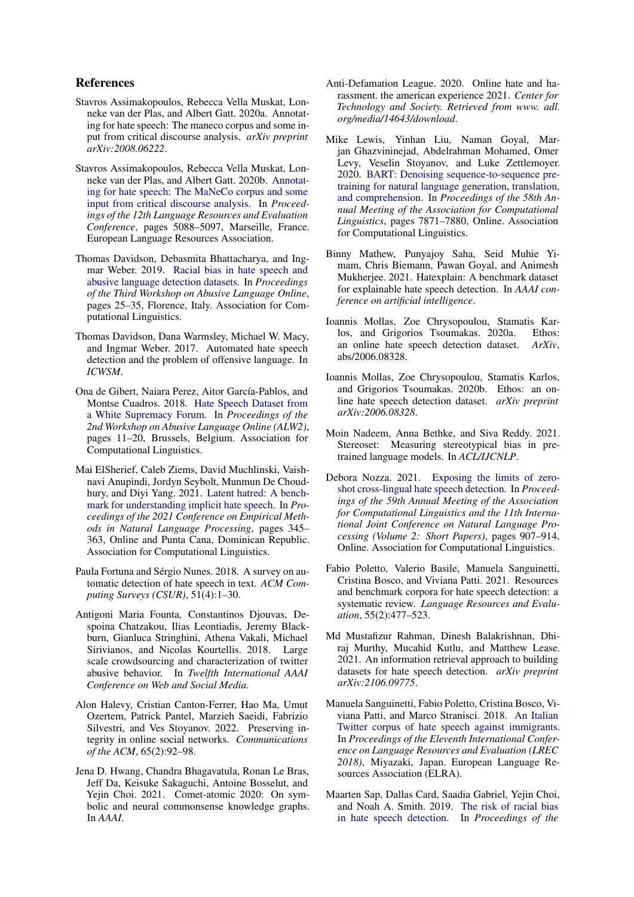### References

- <span id="page-8-19"></span>Stavros Assimakopoulos, Rebecca Vella Muskat, Lonneke van der Plas, and Albert Gatt. 2020a. Annotating for hate speech: The maneco corpus and some input from critical discourse analysis. *arXiv preprint arXiv:2008.06222*.
- <span id="page-8-12"></span>Stavros Assimakopoulos, Rebecca Vella Muskat, Lonneke van der Plas, and Albert Gatt. 2020b. [Annotat](https://aclanthology.org/2020.lrec-1.626)[ing for hate speech: The MaNeCo corpus and some](https://aclanthology.org/2020.lrec-1.626) [input from critical discourse analysis.](https://aclanthology.org/2020.lrec-1.626) In *Proceedings of the 12th Language Resources and Evaluation Conference*, pages 5088–5097, Marseille, France. European Language Resources Association.
- <span id="page-8-6"></span>Thomas Davidson, Debasmita Bhattacharya, and Ingmar Weber. 2019. [Racial bias in hate speech and](https://doi.org/10.18653/v1/W19-3504) [abusive language detection datasets.](https://doi.org/10.18653/v1/W19-3504) In *Proceedings of the Third Workshop on Abusive Language Online*, pages 25–35, Florence, Italy. Association for Computational Linguistics.
- <span id="page-8-1"></span>Thomas Davidson, Dana Warmsley, Michael W. Macy, and Ingmar Weber. 2017. Automated hate speech detection and the problem of offensive language. In *ICWSM*.
- <span id="page-8-9"></span>Ona de Gibert, Naiara Perez, Aitor García-Pablos, and Montse Cuadros. 2018. [Hate Speech Dataset from](https://doi.org/10.18653/v1/W18-5102) [a White Supremacy Forum.](https://doi.org/10.18653/v1/W18-5102) In *Proceedings of the 2nd Workshop on Abusive Language Online (ALW2)*, pages 11–20, Brussels, Belgium. Association for Computational Linguistics.
- <span id="page-8-5"></span>Mai ElSherief, Caleb Ziems, David Muchlinski, Vaishnavi Anupindi, Jordyn Seybolt, Munmun De Choudhury, and Diyi Yang. 2021. [Latent hatred: A bench](https://doi.org/10.18653/v1/2021.emnlp-main.29)[mark for understanding implicit hate speech.](https://doi.org/10.18653/v1/2021.emnlp-main.29) In *Proceedings of the 2021 Conference on Empirical Methods in Natural Language Processing*, pages 345– 363, Online and Punta Cana, Dominican Republic. Association for Computational Linguistics.
- <span id="page-8-17"></span>Paula Fortuna and Sérgio Nunes. 2018. A survey on automatic detection of hate speech in text. *ACM Computing Surveys (CSUR)*, 51(4):1–30.
- <span id="page-8-18"></span>Antigoni Maria Founta, Constantinos Djouvas, Despoina Chatzakou, Ilias Leontiadis, Jeremy Blackburn, Gianluca Stringhini, Athena Vakali, Michael Sirivianos, and Nicolas Kourtellis. 2018. Large scale crowdsourcing and characterization of twitter abusive behavior. In *Twelfth International AAAI Conference on Web and Social Media*.
- <span id="page-8-15"></span>Alon Halevy, Cristian Canton-Ferrer, Hao Ma, Umut Ozertem, Patrick Pantel, Marzieh Saeidi, Fabrizio Silvestri, and Ves Stoyanov. 2022. Preserving integrity in online social networks. *Communications of the ACM*, 65(2):92–98.
- <span id="page-8-3"></span>Jena D. Hwang, Chandra Bhagavatula, Ronan Le Bras, Jeff Da, Keisuke Sakaguchi, Antoine Bosselut, and Yejin Choi. 2021. Comet-atomic 2020: On symbolic and neural commonsense knowledge graphs. In *AAAI*.
- <span id="page-8-14"></span>Anti-Defamation League. 2020. Online hate and harassment. the american experience 2021. *Center for Technology and Society. Retrieved from www. adl. org/media/14643/download*.
- <span id="page-8-13"></span>Mike Lewis, Yinhan Liu, Naman Goyal, Marjan Ghazvininejad, Abdelrahman Mohamed, Omer Levy, Veselin Stoyanov, and Luke Zettlemoyer. 2020. [BART: Denoising sequence-to-sequence pre](https://doi.org/10.18653/v1/2020.acl-main.703)[training for natural language generation, translation,](https://doi.org/10.18653/v1/2020.acl-main.703) [and comprehension.](https://doi.org/10.18653/v1/2020.acl-main.703) In *Proceedings of the 58th Annual Meeting of the Association for Computational Linguistics*, pages 7871–7880, Online. Association for Computational Linguistics.
- <span id="page-8-8"></span>Binny Mathew, Punyajoy Saha, Seid Muhie Yimam, Chris Biemann, Pawan Goyal, and Animesh Mukherjee. 2021. Hatexplain: A benchmark dataset for explainable hate speech detection. In *AAAI conference on artificial intelligence*.
- <span id="page-8-2"></span>Ioannis Mollas, Zoe Chrysopoulou, Stamatis Karlos, and Grigorios Tsoumakas. 2020a. Ethos: an online hate speech detection dataset. *ArXiv*, abs/2006.08328.
- <span id="page-8-10"></span>Ioannis Mollas, Zoe Chrysopoulou, Stamatis Karlos, and Grigorios Tsoumakas. 2020b. Ethos: an online hate speech detection dataset. *arXiv preprint arXiv:2006.08328*.
- <span id="page-8-4"></span>Moin Nadeem, Anna Bethke, and Siva Reddy. 2021. Stereoset: Measuring stereotypical bias in pretrained language models. In *ACL/IJCNLP*.
- <span id="page-8-20"></span>Debora Nozza. 2021. [Exposing the limits of zero](https://doi.org/10.18653/v1/2021.acl-short.114)[shot cross-lingual hate speech detection.](https://doi.org/10.18653/v1/2021.acl-short.114) In *Proceedings of the 59th Annual Meeting of the Association for Computational Linguistics and the 11th International Joint Conference on Natural Language Processing (Volume 2: Short Papers)*, pages 907–914, Online. Association for Computational Linguistics.
- <span id="page-8-16"></span>Fabio Poletto, Valerio Basile, Manuela Sanguinetti, Cristina Bosco, and Viviana Patti. 2021. Resources and benchmark corpora for hate speech detection: a systematic review. *Language Resources and Evaluation*, 55(2):477–523.
- <span id="page-8-0"></span>Md Mustafizur Rahman, Dinesh Balakrishnan, Dhiraj Murthy, Mucahid Kutlu, and Matthew Lease. 2021. An information retrieval approach to building datasets for hate speech detection. *arXiv preprint arXiv:2106.09775*.
- <span id="page-8-11"></span>Manuela Sanguinetti, Fabio Poletto, Cristina Bosco, Viviana Patti, and Marco Stranisci. 2018. [An Italian](https://aclanthology.org/L18-1443) [Twitter corpus of hate speech against immigrants.](https://aclanthology.org/L18-1443) In *Proceedings of the Eleventh International Conference on Language Resources and Evaluation (LREC 2018)*, Miyazaki, Japan. European Language Resources Association (ELRA).
- <span id="page-8-7"></span>Maarten Sap, Dallas Card, Saadia Gabriel, Yejin Choi, and Noah A. Smith. 2019. [The risk of racial bias](https://doi.org/10.18653/v1/P19-1163) [in hate speech detection.](https://doi.org/10.18653/v1/P19-1163) In *Proceedings of the*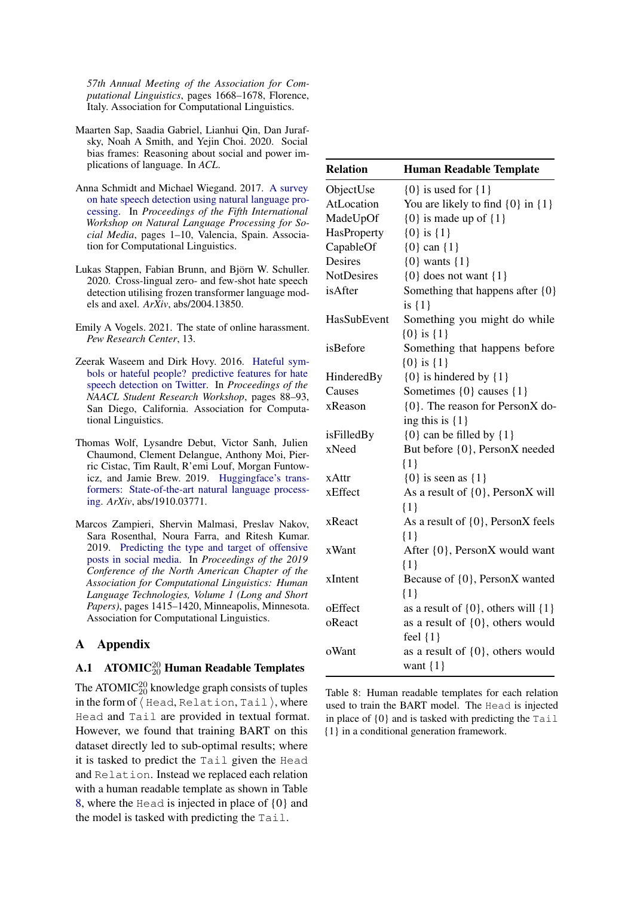*57th Annual Meeting of the Association for Computational Linguistics*, pages 1668–1678, Florence, Italy. Association for Computational Linguistics.

- <span id="page-9-0"></span>Maarten Sap, Saadia Gabriel, Lianhui Qin, Dan Jurafsky, Noah A Smith, and Yejin Choi. 2020. Social bias frames: Reasoning about social and power implications of language. In *ACL*.
- <span id="page-9-4"></span>Anna Schmidt and Michael Wiegand. 2017. [A survey](https://doi.org/10.18653/v1/W17-1101) [on hate speech detection using natural language pro](https://doi.org/10.18653/v1/W17-1101)[cessing.](https://doi.org/10.18653/v1/W17-1101) In *Proceedings of the Fifth International Workshop on Natural Language Processing for Social Media*, pages 1–10, Valencia, Spain. Association for Computational Linguistics.
- <span id="page-9-7"></span>Lukas Stappen, Fabian Brunn, and Björn W. Schuller. 2020. Cross-lingual zero- and few-shot hate speech detection utilising frozen transformer language models and axel. *ArXiv*, abs/2004.13850.
- <span id="page-9-3"></span>Emily A Vogels. 2021. The state of online harassment. *Pew Research Center*, 13.
- <span id="page-9-5"></span>Zeerak Waseem and Dirk Hovy. 2016. [Hateful sym](https://doi.org/10.18653/v1/N16-2013)[bols or hateful people? predictive features for hate](https://doi.org/10.18653/v1/N16-2013) [speech detection on Twitter.](https://doi.org/10.18653/v1/N16-2013) In *Proceedings of the NAACL Student Research Workshop*, pages 88–93, San Diego, California. Association for Computational Linguistics.
- <span id="page-9-2"></span>Thomas Wolf, Lysandre Debut, Victor Sanh, Julien Chaumond, Clement Delangue, Anthony Moi, Pierric Cistac, Tim Rault, R'emi Louf, Morgan Funtowicz, and Jamie Brew. 2019. [Huggingface's trans](http://arxiv.org/abs/1910.03771)[formers: State-of-the-art natural language process](http://arxiv.org/abs/1910.03771)[ing.](http://arxiv.org/abs/1910.03771) *ArXiv*, abs/1910.03771.
- <span id="page-9-6"></span>Marcos Zampieri, Shervin Malmasi, Preslav Nakov, Sara Rosenthal, Noura Farra, and Ritesh Kumar. 2019. [Predicting the type and target of offensive](https://doi.org/10.18653/v1/N19-1144) [posts in social media.](https://doi.org/10.18653/v1/N19-1144) In *Proceedings of the 2019 Conference of the North American Chapter of the Association for Computational Linguistics: Human Language Technologies, Volume 1 (Long and Short Papers)*, pages 1415–1420, Minneapolis, Minnesota. Association for Computational Linguistics.

# A Appendix

# <span id="page-9-1"></span>A.1  $\,$  ATOMIC<sup>20</sup> Human Readable Templates

The ATOMIC $_{20}^{20}$  knowledge graph consists of tuples in the form of  $\langle$  Head, Relation, Tail  $\rangle$ , where Head and Tail are provided in textual format. However, we found that training BART on this dataset directly led to sub-optimal results; where it is tasked to predict the Tail given the Head and Relation. Instead we replaced each relation with a human readable template as shown in Table [8,](#page-9-8) where the Head is injected in place of {0} and the model is tasked with predicting the Tail.

<span id="page-9-8"></span>

| <b>Relation</b>   | <b>Human Readable Template</b>                         |
|-------------------|--------------------------------------------------------|
| ObjectUse         | $\{0\}$ is used for $\{1\}$                            |
| AtLocation        | You are likely to find $\{0\}$ in $\{1\}$              |
| MadeUpOf          | ${0}$ is made up of ${1}$                              |
| HasProperty       | ${0}$ is ${1}$                                         |
| CapableOf         | ${0}$ can ${1}$                                        |
| Desires           | $\{0\}$ wants $\{1\}$                                  |
| <b>NotDesires</b> | $\{0\}$ does not want $\{1\}$                          |
| isAfter           | Something that happens after {0}<br>is $\{1\}$         |
| HasSubEvent       | Something you might do while<br>${0}$ is ${1}$         |
| isBefore          | Something that happens before<br>${0}$ is ${1}$        |
| HinderedBy        | $\{0\}$ is hindered by $\{1\}$                         |
| Causes            | Sometimes {0} causes {1}                               |
| xReason           | {0}. The reason for PersonX do-<br>ing this is $\{1\}$ |
| isFilledBy        | $\{0\}$ can be filled by $\{1\}$                       |
| xNeed             | But before {0}, PersonX needed<br>$\{1\}$              |
| xAttr             | $\{0\}$ is seen as $\{1\}$                             |
| xEffect           | As a result of $\{0\}$ , PersonX will<br>${1}$         |
| xReact            | As a result of $\{0\}$ , PersonX feels<br>$\{1\}$      |
| xWant             | After {0}, PersonX would want<br>$\{1\}$               |
| xIntent           | Because of {0}, PersonX wanted<br>$\{1\}$              |
| oEffect           | as a result of $\{0\}$ , others will $\{1\}$           |
| oReact            | as a result of $\{0\}$ , others would<br>feel $\{1\}$  |
| oWant             | as a result of $\{0\}$ , others would<br>want $\{1\}$  |

Table 8: Human readable templates for each relation used to train the BART model. The Head is injected in place of  $\{0\}$  and is tasked with predicting the Tail {1} in a conditional generation framework.